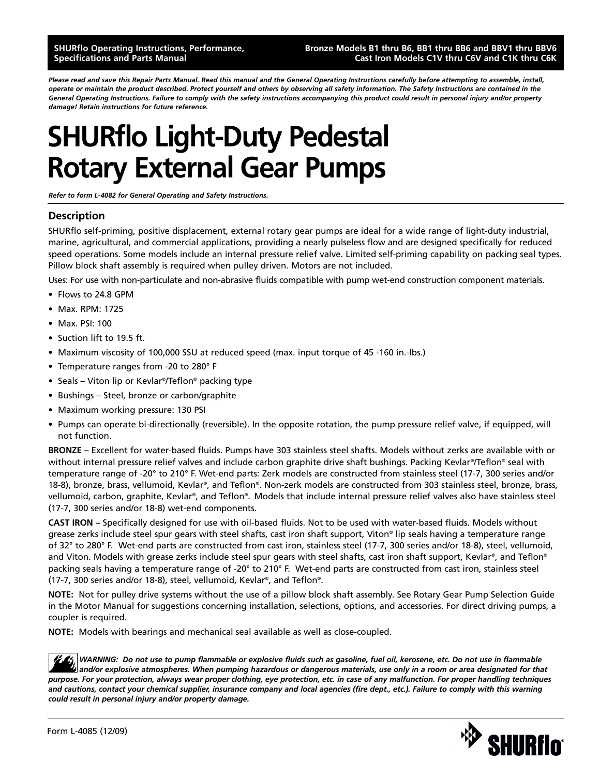### **SHURflo Operating Instructions, Performance, Specifications and Parts Manual**

### **Bronze Models B1 thru B6, BB1 thru BB6 and BBV1 thru BBV6 Cast Iron Models C1V thru C6V and C1K thru C6K**

*Please read and save this Repair Parts Manual. Read this manual and the General Operating Instructions carefully before attempting to assemble, install, operate or maintain the product described. Protect yourself and others by observing all safety information. The Safety Instructions are contained in the General Operating Instructions. Failure to comply with the safety instructions accompanying this product could result in personal injury and/or property damage! Retain instructions for future reference.*

# **SHURflo Light-Duty Pedestal Rotary External Gear Pumps**

*Refer to form L-4082 for General Operating and Safety Instructions.*

# **Description**

SHURflo self-priming, positive displacement, external rotary gear pumps are ideal for a wide range of light-duty industrial, marine, agricultural, and commercial applications, providing a nearly pulseless flow and are designed specifically for reduced speed operations. Some models include an internal pressure relief valve. Limited self-priming capability on packing seal types. Pillow block shaft assembly is required when pulley driven. Motors are not included.

Uses: For use with non-particulate and non-abrasive fluids compatible with pump wet-end construction component materials.

- Flows to 24.8 GPM
- Max. RPM: 1725
- Max. PSI: 100
- Suction lift to 19.5 ft.
- Maximum viscosity of 100,000 SSU at reduced speed (max. input torque of 45 -160 in.-lbs.)
- Temperature ranges from -20 to 280° F
- Seals Viton lip or Kevlar®/Teflon® packing type
- Bushings Steel, bronze or carbon/graphite
- Maximum working pressure: 130 PSI
- Pumps can operate bi-directionally (reversible). In the opposite rotation, the pump pressure relief valve, if equipped, will not function.

**BRONZE –** Excellent for water-based fluids. Pumps have 303 stainless steel shafts. Models without zerks are available with or without internal pressure relief valves and include carbon graphite drive shaft bushings. Packing Kevlar®/Teflon® seal with temperature range of -20° to 210° F. Wet-end parts: Zerk models are constructed from stainless steel (17-7, 300 series and/or 18-8), bronze, brass, vellumoid, Kevlar®, and Teflon®. Non-zerk models are constructed from 303 stainless steel, bronze, brass, vellumoid, carbon, graphite, Kevlar®, and Teflon®. Models that include internal pressure relief valves also have stainless steel (17-7, 300 series and/or 18-8) wet-end components.

**CAST IRON –** Specifically designed for use with oil-based fluids. Not to be used with water-based fluids. Models without grease zerks include steel spur gears with steel shafts, cast iron shaft support, Viton® lip seals having a temperature range of 32° to 280° F. Wet-end parts are constructed from cast iron, stainless steel (17-7, 300 series and/or 18-8), steel, vellumoid, and Viton. Models with grease zerks include steel spur gears with steel shafts, cast iron shaft support, Kevlar®, and Teflon® packing seals having a temperature range of -20° to 210° F. Wet-end parts are constructed from cast iron, stainless steel (17-7, 300 series and/or 18-8), steel, vellumoid, Kevlar®, and Teflon®.

**NOTE:** Not for pulley drive systems without the use of a pillow block shaft assembly. See Rotary Gear Pump Selection Guide in the Motor Manual for suggestions concerning installation, selections, options, and accessories. For direct driving pumps, a coupler is required.

**NOTE:** Models with bearings and mechanical seal available as well as close-coupled.

*WARNING: Do not use to pump flammable or explosive fluids such as gasoline, fuel oil, kerosene, etc. Do not use in flammable and/or explosive atmospheres. When pumping hazardous or dangerous materials, use only in a room or area designated for that purpose. For your protection, always wear proper clothing, eye protection, etc. in case of any malfunction. For proper handling techniques and cautions, contact your chemical supplier, insurance company and local agencies (fire dept., etc.). Failure to comply with this warning could result in personal injury and/or property damage.*

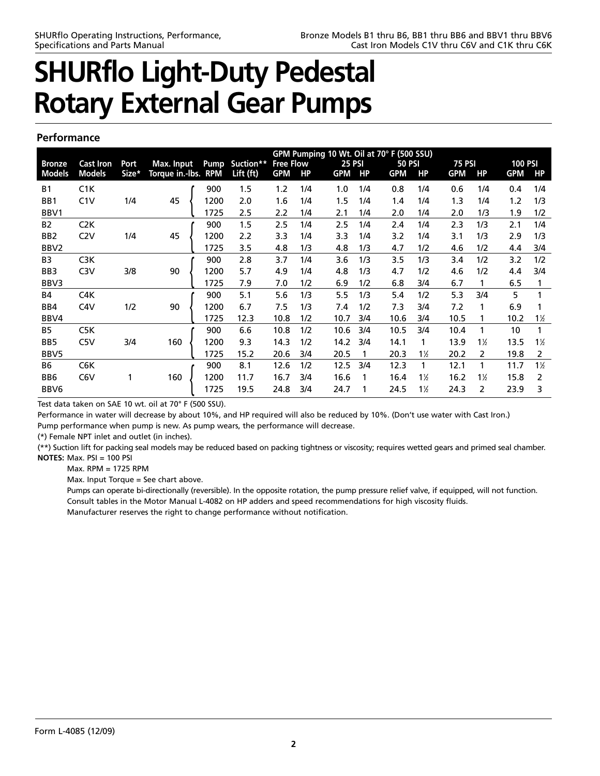### **Performance**

|                 | GPM Pumping 10 Wt. Oil at 70° F (500 SSU) |       |                     |             |             |                  |           |               |     |               |              |               |                |                |                |
|-----------------|-------------------------------------------|-------|---------------------|-------------|-------------|------------------|-----------|---------------|-----|---------------|--------------|---------------|----------------|----------------|----------------|
| <b>Bronze</b>   | <b>Cast Iron</b>                          | Port  | Max. Input          | <b>Pump</b> | Suction**   | <b>Free Flow</b> |           | <b>25 PSI</b> |     | <b>50 PSI</b> |              | <b>75 PSI</b> |                | <b>100 PSI</b> |                |
| <b>Models</b>   | <b>Models</b>                             | Size* | Torque in.-Ibs. RPM |             | Lift $(ft)$ | <b>GPM</b>       | <b>HP</b> | <b>GPM</b>    | HP  | <b>GPM</b>    | <b>HP</b>    | <b>GPM</b>    | HP             | <b>GPM</b>     | <b>HP</b>      |
| <b>B1</b>       | C1K                                       |       |                     | 900         | 1.5         | 1.2              | 1/4       | 1.0           | 1/4 | 0.8           | 1/4          | 0.6           | 1/4            | 0.4            | 1/4            |
| BB1             | C1V                                       | 1/4   | 45                  | 1200        | 2.0         | 1.6              | 1/4       | 1.5           | 1/4 | 1.4           | 1/4          | 1.3           | 1/4            | 1.2            | 1/3            |
| BBV1            |                                           |       |                     | 1725        | 2.5         | 2.2              | 1/4       | 2.1           | 1/4 | 2.0           | 1/4          | 2.0           | 1/3            | 1.9            | 1/2            |
| B <sub>2</sub>  | C <sub>2</sub> K                          |       |                     | 900         | 1.5         | 2.5              | 1/4       | 2.5           | 1/4 | 2.4           | 1/4          | 2.3           | 1/3            | 2.1            | 1/4            |
| B <sub>B2</sub> | C2V                                       | 1/4   | 45                  | 1200        | 2.2         | 3.3              | 1/4       | 3.3           | 1/4 | 3.2           | 1/4          | 3.1           | 1/3            | 2.9            | 1/3            |
| BBV2            |                                           |       |                     | 1725        | 3.5         | 4.8              | 1/3       | 4.8           | 1/3 | 4.7           | 1/2          | 4.6           | 1/2            | 4.4            | 3/4            |
| B <sub>3</sub>  | C <sub>3</sub> K                          |       |                     | 900         | 2.8         | 3.7              | 1/4       | 3.6           | 1/3 | 3.5           | 1/3          | 3.4           | 1/2            | 3.2            | 1/2            |
| BB <sub>3</sub> | C <sub>3</sub> V                          | 3/8   | 90                  | 1200        | 5.7         | 4.9              | 1/4       | 4.8           | 1/3 | 4.7           | 1/2          | 4.6           | 1/2            | 4.4            | 3/4            |
| BBV3            |                                           |       |                     | 1725        | 7.9         | 7.0              | 1/2       | 6.9           | 1/2 | 6.8           | 3/4          | 6.7           |                | 6.5            | 1              |
| <b>B4</b>       | C4K                                       |       |                     | 900         | 5.1         | 5.6              | 1/3       | 5.5           | 1/3 | 5.4           | 1/2          | 5.3           | 3/4            | 5              | 1              |
| BB4             | C4V                                       | 1/2   | 90                  | 1200        | 6.7         | 7.5              | 1/3       | 7.4           | 1/2 | 7.3           | 3/4          | 7.2           |                | 6.9            |                |
| BBV4            |                                           |       |                     | 1725        | 12.3        | 10.8             | 1/2       | 10.7          | 3/4 | 10.6          | 3/4          | 10.5          |                | 10.2           | $1\%$          |
| B5              | C <sub>5</sub> K                          |       |                     | 900         | 6.6         | 10.8             | 1/2       | 10.6          | 3/4 | 10.5          | 3/4          | 10.4          |                | 10             | 1              |
| BB <sub>5</sub> | C <sub>5</sub> V                          | 3/4   | 160                 | 1200        | 9.3         | 14.3             | 1/2       | 14.2          | 3/4 | 14.1          | 1            | 13.9          | $1\frac{1}{2}$ | 13.5           | $1\frac{1}{2}$ |
| BBV5            |                                           |       |                     | 1725        | 15.2        | 20.6             | 3/4       | 20.5          | 1   | 20.3          | $1\%$        | 20.2          | $\overline{2}$ | 19.8           | 2              |
| <b>B6</b>       | C <sub>6</sub> K                          |       |                     | 900         | 8.1         | 12.6             | 1/2       | 12.5          | 3/4 | 12.3          | $\mathbf{1}$ | 12.1          | 1              | 11.7           | $1\frac{1}{2}$ |
| BB <sub>6</sub> | C <sub>6</sub> V                          |       | 160                 | 1200        | 11.7        | 16.7             | 3/4       | 16.6          | 1   | 16.4          | $1\%$        | 16.2          | $1\frac{1}{2}$ | 15.8           | 2              |
| BBV6            |                                           |       |                     | 1725        | 19.5        | 24.8             | 3/4       | 24.7          | 1   | 24.5          | $1\%$        | 24.3          | 2              | 23.9           | 3              |

Test data taken on SAE 10 wt. oil at 70° F (500 SSU).

Performance in water will decrease by about 10%, and HP required will also be reduced by 10%. (Don't use water with Cast Iron.) Pump performance when pump is new. As pump wears, the performance will decrease.

(\*) Female NPT inlet and outlet (in inches).

(\*\*) Suction lift for packing seal models may be reduced based on packing tightness or viscosity; requires wetted gears and primed seal chamber. **NOTES:** Max. PSI = 100 PSI

Max. RPM = 1725 RPM

Max. Input Torque = See chart above.

Pumps can operate bi-directionally (reversible). In the opposite rotation, the pump pressure relief valve, if equipped, will not function. Consult tables in the Motor Manual L-4082 on HP adders and speed recommendations for high viscosity fluids. Manufacturer reserves the right to change performance without notification.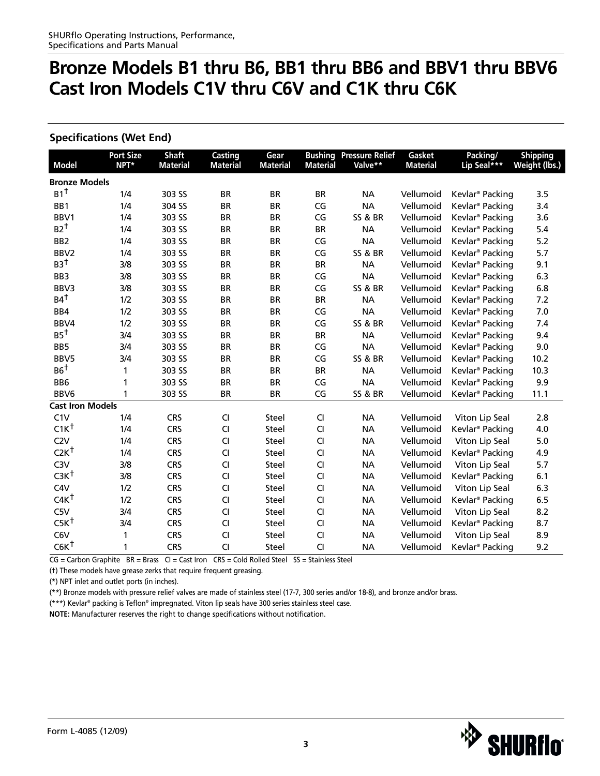# **Specifications (Wet End)**

| <b>Model</b>            | <b>Port Size</b><br>NPT* | <b>Shaft</b><br><b>Material</b> | Casting<br><b>Material</b> | Gear<br><b>Material</b> | <b>Bushing</b><br><b>Material</b> | <b>Pressure Relief</b><br>Valve** | Gasket<br><b>Material</b> | Packing/<br>Lip Seal ***    | <b>Shipping</b><br>Weight (lbs.) |
|-------------------------|--------------------------|---------------------------------|----------------------------|-------------------------|-----------------------------------|-----------------------------------|---------------------------|-----------------------------|----------------------------------|
| <b>Bronze Models</b>    |                          |                                 |                            |                         |                                   |                                   |                           |                             |                                  |
| $B1$ <sup>t</sup>       | 1/4                      | 303 SS                          | <b>BR</b>                  | <b>BR</b>               | <b>BR</b>                         | <b>NA</b>                         | Vellumoid                 | Kevlar <sup>®</sup> Packing | 3.5                              |
| BB1                     | 1/4                      | 304 SS                          | <b>BR</b>                  | <b>BR</b>               | CG                                | <b>NA</b>                         | Vellumoid                 | Kevlar <sup>®</sup> Packing | 3.4                              |
| BBV1                    | 1/4                      | 303 SS                          | <b>BR</b>                  | <b>BR</b>               | CG                                | <b>SS &amp; BR</b>                | Vellumoid                 | Kevlar <sup>®</sup> Packing | 3.6                              |
| $B2^{\dagger}$          | 1/4                      | 303 SS                          | <b>BR</b>                  | <b>BR</b>               | <b>BR</b>                         | <b>NA</b>                         | Vellumoid                 | Kevlar <sup>®</sup> Packing | 5.4                              |
| BB <sub>2</sub>         | 1/4                      | 303 SS                          | <b>BR</b>                  | <b>BR</b>               | CG                                | <b>NA</b>                         | Vellumoid                 | Kevlar <sup>®</sup> Packing | 5.2                              |
| BBV <sub>2</sub>        | 1/4                      | 303 SS                          | <b>BR</b>                  | <b>BR</b>               | CG                                | <b>SS &amp; BR</b>                | Vellumoid                 | Kevlar <sup>®</sup> Packing | 5.7                              |
| $B3^{\dagger}$          | 3/8                      | 303 SS                          | <b>BR</b>                  | <b>BR</b>               | <b>BR</b>                         | <b>NA</b>                         | Vellumoid                 | Kevlar <sup>®</sup> Packing | 9.1                              |
| BB <sub>3</sub>         | 3/8                      | 303 SS                          | <b>BR</b>                  | <b>BR</b>               | CG                                | <b>NA</b>                         | Vellumoid                 | Kevlar <sup>®</sup> Packing | 6.3                              |
| BBV3                    | 3/8                      | 303 SS                          | <b>BR</b>                  | <b>BR</b>               | CG                                | <b>SS &amp; BR</b>                | Vellumoid                 | Kevlar <sup>®</sup> Packing | 6.8                              |
| $B4^{\dagger}$          | 1/2                      | 303 SS                          | <b>BR</b>                  | <b>BR</b>               | <b>BR</b>                         | <b>NA</b>                         | Vellumoid                 | Kevlar <sup>®</sup> Packing | 7.2                              |
| BB4                     | 1/2                      | 303 SS                          | <b>BR</b>                  | <b>BR</b>               | CG                                | <b>NA</b>                         | Vellumoid                 | Kevlar <sup>®</sup> Packing | 7.0                              |
| BBV4                    | 1/2                      | 303 SS                          | <b>BR</b>                  | <b>BR</b>               | CG                                | <b>SS &amp; BR</b>                | Vellumoid                 | Kevlar <sup>®</sup> Packing | 7.4                              |
| $B5^{\dagger}$          | 3/4                      | 303 SS                          | <b>BR</b>                  | <b>BR</b>               | <b>BR</b>                         | <b>NA</b>                         | Vellumoid                 | Kevlar <sup>®</sup> Packing | 9.4                              |
| BB <sub>5</sub>         | 3/4                      | 303 SS                          | <b>BR</b>                  | <b>BR</b>               | CG                                | <b>NA</b>                         | Vellumoid                 | Kevlar <sup>®</sup> Packing | 9.0                              |
| BBV5                    | 3/4                      | 303 SS                          | <b>BR</b>                  | <b>BR</b>               | CG                                | <b>SS &amp; BR</b>                | Vellumoid                 | Kevlar <sup>®</sup> Packing | 10.2                             |
| $B6^{\dagger}$          | 1                        | 303 SS                          | <b>BR</b>                  | <b>BR</b>               | <b>BR</b>                         | <b>NA</b>                         | Vellumoid                 | Kevlar <sup>®</sup> Packing | 10.3                             |
| BB <sub>6</sub>         | 1                        | 303 SS                          | <b>BR</b>                  | <b>BR</b>               | CG                                | <b>NA</b>                         | Vellumoid                 | Kevlar <sup>®</sup> Packing | 9.9                              |
| BBV6                    | 1                        | 303 SS                          | <b>BR</b>                  | <b>BR</b>               | CG                                | <b>SS &amp; BR</b>                | Vellumoid                 | Kevlar <sup>®</sup> Packing | 11.1                             |
| <b>Cast Iron Models</b> |                          |                                 |                            |                         |                                   |                                   |                           |                             |                                  |
| C1V                     | 1/4                      | <b>CRS</b>                      | CI                         | <b>Steel</b>            | CI                                | <b>NA</b>                         | Vellumoid                 | Viton Lip Seal              | 2.8                              |
| $C1K^{\dagger}$         | 1/4                      | <b>CRS</b>                      | CI                         | <b>Steel</b>            | CI                                | <b>NA</b>                         | Vellumoid                 | Kevlar <sup>®</sup> Packing | 4.0                              |
| C2V                     | 1/4                      | <b>CRS</b>                      | CI                         | Steel                   | CI                                | <b>NA</b>                         | Vellumoid                 | Viton Lip Seal              | 5.0                              |
| $C2K^{\dagger}$         | 1/4                      | <b>CRS</b>                      | CI                         | <b>Steel</b>            | CI                                | <b>NA</b>                         | Vellumoid                 | Kevlar <sup>®</sup> Packing | 4.9                              |
| C <sub>3</sub> V        | 3/8                      | <b>CRS</b>                      | CI                         | Steel                   | CI                                | <b>NA</b>                         | Vellumoid                 | Viton Lip Seal              | 5.7                              |
| $C3K^{\dagger}$         | 3/8                      | <b>CRS</b>                      | CI                         | Steel                   | CI                                | <b>NA</b>                         | Vellumoid                 | Kevlar <sup>®</sup> Packing | 6.1                              |
| C4V                     | 1/2                      | <b>CRS</b>                      | CI                         | <b>Steel</b>            | CI                                | <b>NA</b>                         | Vellumoid                 | Viton Lip Seal              | 6.3                              |
| $CAK^{\dagger}$         | 1/2                      | <b>CRS</b>                      | CI                         | Steel                   | CI                                | <b>NA</b>                         | Vellumoid                 | Kevlar <sup>®</sup> Packing | 6.5                              |
| C5V                     | 3/4                      | <b>CRS</b>                      | CI                         | Steel                   | CI                                | <b>NA</b>                         | Vellumoid                 | Viton Lip Seal              | 8.2                              |
| $C5K^{\dagger}$         | 3/4                      | <b>CRS</b>                      | CI                         | <b>Steel</b>            | CI                                | <b>NA</b>                         | Vellumoid                 | Kevlar <sup>®</sup> Packing | 8.7                              |
| C6V                     | 1                        | <b>CRS</b>                      | CI                         | Steel                   | CI                                | <b>NA</b>                         | Vellumoid                 | Viton Lip Seal              | 8.9                              |
| $C6K^{\dagger}$         | 1                        | <b>CRS</b>                      | CI                         | Steel                   | CI                                | <b>NA</b>                         | Vellumoid                 | Kevlar <sup>®</sup> Packing | 9.2                              |

CG = Carbon Graphite BR = Brass CI = Cast Iron CRS = Cold Rolled Steel SS = Stainless Steel

(†) These models have grease zerks that require frequent greasing.

(\*) NPT inlet and outlet ports (in inches).

(\*\*) Bronze models with pressure relief valves are made of stainless steel (17-7, 300 series and/or 18-8), and bronze and/or brass.

(\*\*\*) Kevlar® packing is Teflon® impregnated. Viton lip seals have 300 series stainless steel case.

**NOTE:** Manufacturer reserves the right to change specifications without notification.

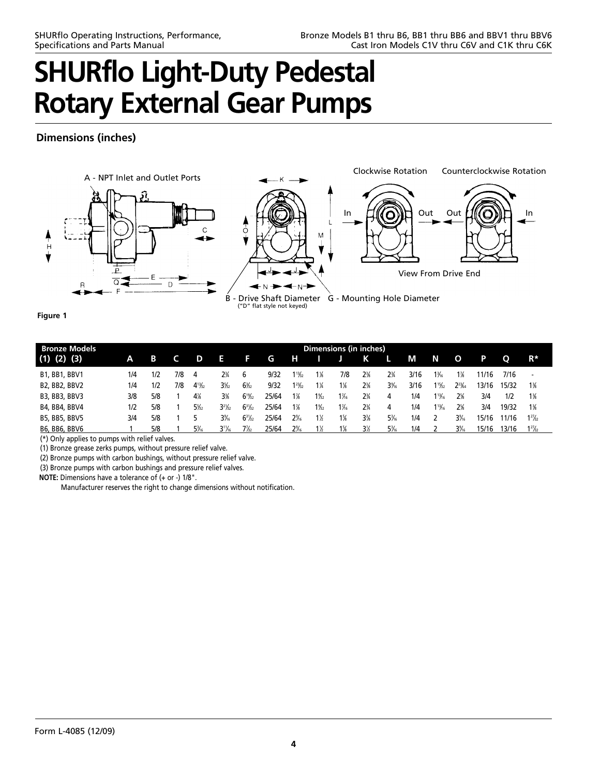# **Dimensions (inches)**



**Figure 1**

| <b>Bronze Models</b> | <b>Dimensions (in inches)</b> |     |     |                 |                               |                                      |       |                |                 |                 |                |                 |      |                  |              |       |       |                          |
|----------------------|-------------------------------|-----|-----|-----------------|-------------------------------|--------------------------------------|-------|----------------|-----------------|-----------------|----------------|-----------------|------|------------------|--------------|-------|-------|--------------------------|
| $(1)$ $(2)$ $(3)$    | А                             | В   |     | D               | E.                            | E                                    | G     | н              |                 |                 | К              | L               | М    | N                | $\mathbf{o}$ | Р     | O     | $R^*$                    |
| <b>B1, BB1, BBV1</b> | 1/4                           | 1/2 | 7/8 | 4               | $2\frac{3}{4}$                | 6                                    | 9/32  | 13/22          | 1 %             | 7/8             | $2\frac{3}{8}$ | $2\frac{3}{4}$  | 3/16 | 1¾               | $1\%$        | 11/16 | 7/16  | $\overline{\phantom{0}}$ |
| B2, BB2, BBV2        | 1/4                           | 1/2 | 7/8 | $4^{13}/_{2}$   | $3\%$                         | $6\frac{1}{2}$                       | 9/32  | $1^{23/2}$     | $1\frac{1}{4}$  | $1\%$           | $2\%$          | $3\%$           | 3/16 | $1\frac{15}{22}$ | $2^{23}$ 64  | 13/16 | 15/32 | $1\%$                    |
| B3, BB3, BBV3        | 3/8                           | 5/8 |     | 4%              | 3%                            | $6^{19}/_{22}$                       | 25/64 | $1\%$          | $1\frac{9}{22}$ | $1\frac{7}{6}$  | $2\frac{3}{4}$ | 4               | 1/4  | $1\frac{13}{16}$ | 2%           | 3/4   | 1/2   | $1\%$                    |
| B4, BB4, BBV4        | 1/2                           | 5/8 |     | $5\frac{5}{2}$  | 3 <sup>2</sup> / <sub>2</sub> | $6^{3}\%$                            | 25/64 | $1\frac{7}{8}$ | $1\frac{9}{22}$ | $1\frac{7}{16}$ | $2\frac{3}{4}$ | 4               | 1/4  | $1\frac{13}{16}$ | 2%           | 3/4   | 19/32 | $1\frac{3}{6}$           |
| B5, BB5, BBV5        | 3/4                           | 5/8 |     |                 | $3\%$                         | $6^{3}$ <sup>2</sup> / <sub>32</sub> | 25/64 | 2%             | $1\%$           | 1%              | 3%             | $5\frac{3}{16}$ | 1/4  |                  | $3\%$        | 15/16 | 1/16  | $1^{27}/_{22}$           |
| B6, BB6, BBV6        |                               | 5/8 |     | $5\frac{3}{16}$ | $3^{11}/6$                    | $7\frac{1}{2}$                       | 25/64 | $2\%$          | 1½              | $1\%$           | 3½             | $5\frac{3}{16}$ | 1/4  |                  | $3\%$        | 15/16 | 3/16  | $1^{27}/_{22}$           |

(\*) Only applies to pumps with relief valves.

(1) Bronze grease zerks pumps, without pressure relief valve.

(2) Bronze pumps with carbon bushings, without pressure relief valve.

(3) Bronze pumps with carbon bushings and pressure relief valves.

**NOTE:** Dimensions have a tolerance of (+ or -) 1/8".

Manufacturer reserves the right to change dimensions without notification.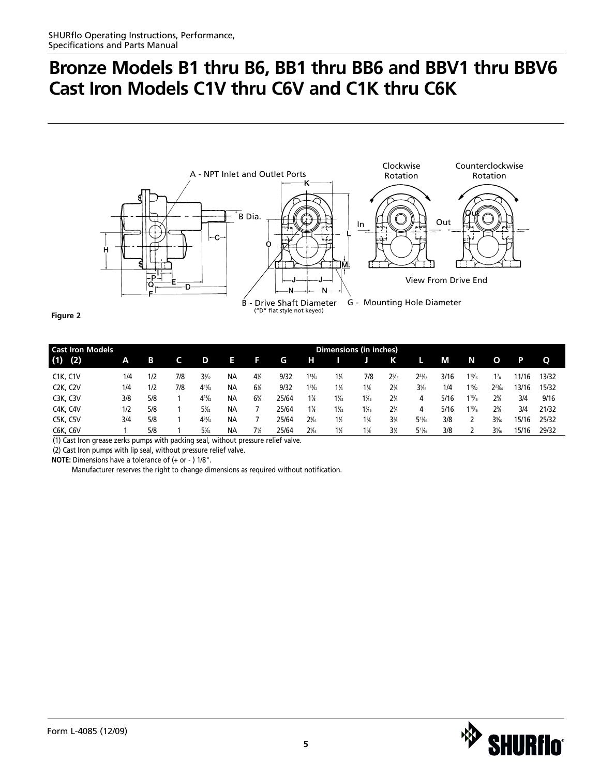

**Figure 2**

| <b>Cast Iron Models</b>            | Dimensions (in inches) |     |     |                |           |                |       |                  |                |                 |                 |                |      |                         |                |       |       |
|------------------------------------|------------------------|-----|-----|----------------|-----------|----------------|-------|------------------|----------------|-----------------|-----------------|----------------|------|-------------------------|----------------|-------|-------|
| (1)<br>(2)                         | Α                      | в   |     | D              | Ħ         | F              | G     | н                |                |                 | Κ               |                | M    | N                       | O              | P     | Q     |
| <b>C1K, C1V</b>                    | 1/4                    | 1/2 | 7/8 | 3 <sub>2</sub> | NА        | $4\%$          | 9/32  | $1\frac{13}{22}$ | 1%             | 7/8             | $2\frac{5}{16}$ | $2^{23}/_{22}$ | 3/16 | $1^{13}/6$              | $\frac{7}{8}$  | 1/16  | 13/32 |
| C <sub>2</sub> K, C <sub>2</sub> V | 1/4                    | 1/2 | 7/8 | $4^{13}/_{2}$  | <b>NA</b> | 6%             | 9/32  | $1^{23}/22$      | $1\frac{1}{4}$ | $1\frac{1}{8}$  | 2%              | $3\%$          | 1/4  | 1 $\frac{15}{32}$       | $2^{23}$ ka    | 3/16  | 15/32 |
| C3K, C3V                           | 3/8                    | 5/8 |     | $4^{13}/_{2}$  | <b>NA</b> | 6%             | 25/64 | $1\%$            | $1\frac{9}{2}$ | $1\frac{7}{16}$ | $2\frac{3}{4}$  | 4              | 5/16 | $1\frac{13}{16}$        | $2\%$          | 3/4   | 9/16  |
| C4K, C4V                           | 1/2                    | 5/8 |     | $5\frac{5}{2}$ | ΝA        |                | 25/64 | $1\frac{7}{8}$   | $1\frac{9}{2}$ | $1\frac{7}{16}$ | $2\frac{3}{4}$  | 4              | 5/16 | $1^{13}$ / <sub>6</sub> | $2\frac{5}{8}$ | 3/4   | 21/32 |
| C5K, C5V                           | 3/4                    | 5/8 |     | $4^{31/2}$     | <b>NA</b> |                | 25/64 | 2%               | $1\%$          | $1\%$           | 3%              | $5^{13}/6$     | 3/8  |                         | $3\%$          | 15/16 | 25/32 |
| C6K, C6V                           |                        | 5/8 |     | $5\frac{1}{2}$ | <b>NA</b> | $7\frac{1}{4}$ | 25/64 | 2%               | $1\%$          | $1\%$           | 3½              | $5^{13}/6$     | 3/8  |                         | $3\%$          | 15/16 | 29/32 |

(1) Cast Iron grease zerks pumps with packing seal, without pressure relief valve.

(2) Cast Iron pumps with lip seal, without pressure relief valve.

**NOTE:** Dimensions have a tolerance of (+ or - ) 1/8".

Manufacturer reserves the right to change dimensions as required without notification.

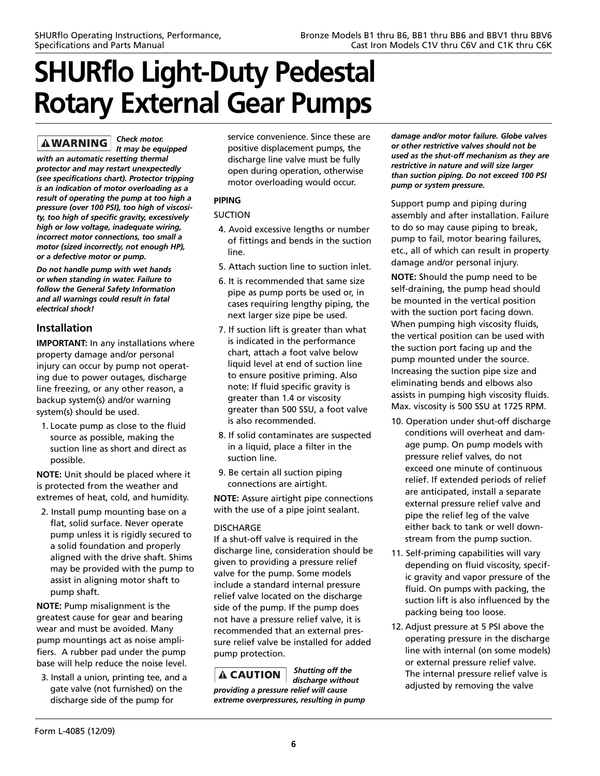*Check motor.*  **AWARNING** *It may be equipped with an automatic resetting thermal protector and may restart unexpectedly (see specifications chart). Protector tripping is an indication of motor overloading as a result of operating the pump at too high a pressure (over 100 PSI), too high of viscosity, too high of specific gravity, excessively high or low voltage, inadequate wiring, incorrect motor connections, too small a motor (sized incorrectly, not enough HP), or a defective motor or pump.*

*Do not handle pump with wet hands or when standing in water. Failure to follow the General Safety Information and all warnings could result in fatal electrical shock!*

# **Installation**

**IMPORTANT:** In any installations where property damage and/or personal injury can occur by pump not operating due to power outages, discharge line freezing, or any other reason, a backup system(s) and/or warning system(s) should be used.

1. Locate pump as close to the fluid source as possible, making the suction line as short and direct as possible.

**NOTE:** Unit should be placed where it is protected from the weather and extremes of heat, cold, and humidity.

2. Install pump mounting base on a flat, solid surface. Never operate pump unless it is rigidly secured to a solid foundation and properly aligned with the drive shaft. Shims may be provided with the pump to assist in aligning motor shaft to pump shaft.

**NOTE:** Pump misalignment is the greatest cause for gear and bearing wear and must be avoided. Many pump mountings act as noise amplifiers. A rubber pad under the pump base will help reduce the noise level.

3. Install a union, printing tee, and a gate valve (not furnished) on the discharge side of the pump for

service convenience. Since these are positive displacement pumps, the discharge line valve must be fully open during operation, otherwise motor overloading would occur.

# **PIPING**

## SUCTION

- 4. Avoid excessive lengths or number of fittings and bends in the suction line.
- 5. Attach suction line to suction inlet.
- 6. It is recommended that same size pipe as pump ports be used or, in cases requiring lengthy piping, the next larger size pipe be used.
- 7. If suction lift is greater than what is indicated in the performance chart, attach a foot valve below liquid level at end of suction line to ensure positive priming. Also note: If fluid specific gravity is greater than 1.4 or viscosity greater than 500 SSU, a foot valve is also recommended.
- 8. If solid contaminates are suspected in a liquid, place a filter in the suction line.
- 9. Be certain all suction piping connections are airtight.

**NOTE:** Assure airtight pipe connections with the use of a pipe joint sealant.

## DISCHARGE

If a shut-off valve is required in the discharge line, consideration should be given to providing a pressure relief valve for the pump. Some models include a standard internal pressure relief valve located on the discharge side of the pump. If the pump does not have a pressure relief valve, it is recommended that an external pressure relief valve be installed for added pump protection.

*Shutting off the*  **A CAUTION** *discharge without providing a pressure relief will cause extreme overpressures, resulting in pump* *damage and/or motor failure. Globe valves or other restrictive valves should not be used as the shut-off mechanism as they are restrictive in nature and will size larger than suction piping. Do not exceed 100 PSI pump or system pressure.* 

Support pump and piping during assembly and after installation. Failure to do so may cause piping to break, pump to fail, motor bearing failures, etc., all of which can result in property damage and/or personal injury.

**NOTE:** Should the pump need to be self-draining, the pump head should be mounted in the vertical position with the suction port facing down. When pumping high viscosity fluids, the vertical position can be used with the suction port facing up and the pump mounted under the source. Increasing the suction pipe size and eliminating bends and elbows also assists in pumping high viscosity fluids. Max. viscosity is 500 SSU at 1725 RPM.

- 10. Operation under shut-off discharge conditions will overheat and damage pump. On pump models with pressure relief valves, do not exceed one minute of continuous relief. If extended periods of relief are anticipated, install a separate external pressure relief valve and pipe the relief leg of the valve either back to tank or well downstream from the pump suction.
- 11. Self-priming capabilities will vary depending on fluid viscosity, specific gravity and vapor pressure of the fluid. On pumps with packing, the suction lift is also influenced by the packing being too loose.
- 12. Adjust pressure at 5 PSI above the operating pressure in the discharge line with internal (on some models) or external pressure relief valve. The internal pressure relief valve is adjusted by removing the valve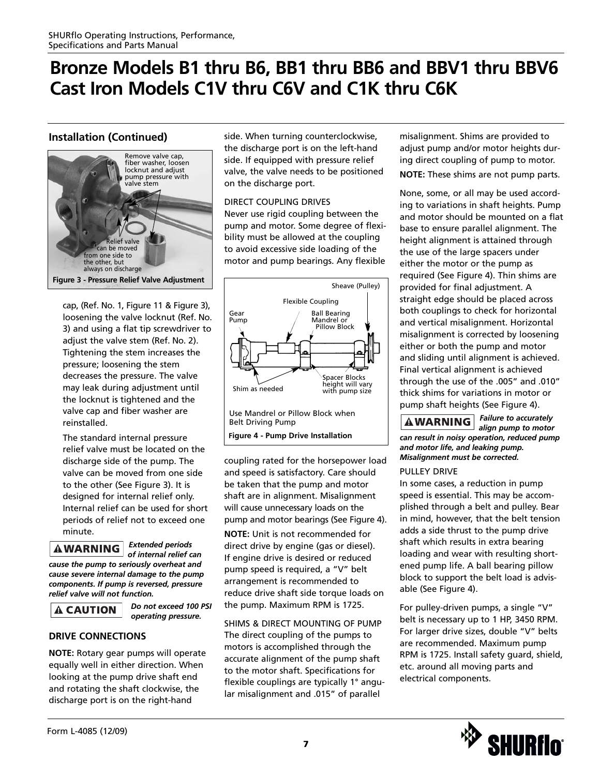# **Installation (Continued)**



cap, (Ref. No. 1, Figure 11 & Figure 3), loosening the valve locknut (Ref. No. 3) and using a flat tip screwdriver to adjust the valve stem (Ref. No. 2). Tightening the stem increases the pressure; loosening the stem decreases the pressure. The valve may leak during adjustment until the locknut is tightened and the valve cap and fiber washer are reinstalled.

The standard internal pressure relief valve must be located on the discharge side of the pump. The valve can be moved from one side to the other (See Figure 3). It is designed for internal relief only. Internal relief can be used for short periods of relief not to exceed one minute.

*Extended periods* **AWARNING** *of internal relief can cause the pump to seriously overheat and cause severe internal damage to the pump components. If pump is reversed, pressure relief valve will not function.*

# **A CAUTION**

*Do not exceed 100 PSI operating pressure.*

# **DRIVE CONNECTIONS**

**NOTE:** Rotary gear pumps will operate equally well in either direction. When looking at the pump drive shaft end and rotating the shaft clockwise, the discharge port is on the right-hand

side. When turning counterclockwise, the discharge port is on the left-hand side. If equipped with pressure relief valve, the valve needs to be positioned on the discharge port.

### DIRECT COUPLING DRIVES Never use rigid coupling between the pump and motor. Some degree of flexibility must be allowed at the coupling to avoid excessive side loading of the

motor and pump bearings. Any flexible



coupling rated for the horsepower load and speed is satisfactory. Care should be taken that the pump and motor shaft are in alignment. Misalignment will cause unnecessary loads on the pump and motor bearings (See Figure 4).

**NOTE:** Unit is not recommended for direct drive by engine (gas or diesel). If engine drive is desired or reduced pump speed is required, a "V" belt arrangement is recommended to reduce drive shaft side torque loads on the pump. Maximum RPM is 1725.

SHIMS & DIRECT MOUNTING OF PUMP The direct coupling of the pumps to motors is accomplished through the accurate alignment of the pump shaft to the motor shaft. Specifications for flexible couplings are typically 1° angular misalignment and .015" of parallel

misalignment. Shims are provided to adjust pump and/or motor heights during direct coupling of pump to motor.

**NOTE:** These shims are not pump parts.

None, some, or all may be used according to variations in shaft heights. Pump and motor should be mounted on a flat base to ensure parallel alignment. The height alignment is attained through the use of the large spacers under either the motor or the pump as required (See Figure 4). Thin shims are provided for final adjustment. A straight edge should be placed across both couplings to check for horizontal and vertical misalignment. Horizontal misalignment is corrected by loosening either or both the pump and motor and sliding until alignment is achieved. Final vertical alignment is achieved through the use of the .005" and .010" thick shims for variations in motor or pump shaft heights (See Figure 4).

*Failure to accurately align pump to motor can result in noisy operation, reduced pump and motor life, and leaking pump. Misalignment must be corrected.* 

## PULLEY DRIVE

In some cases, a reduction in pump speed is essential. This may be accomplished through a belt and pulley. Bear in mind, however, that the belt tension adds a side thrust to the pump drive shaft which results in extra bearing loading and wear with resulting shortened pump life. A ball bearing pillow block to support the belt load is advisable (See Figure 4).

For pulley-driven pumps, a single "V" belt is necessary up to 1 HP, 3450 RPM. For larger drive sizes, double "V" belts are recommended. Maximum pump RPM is 1725. Install safety guard, shield, etc. around all moving parts and electrical components.

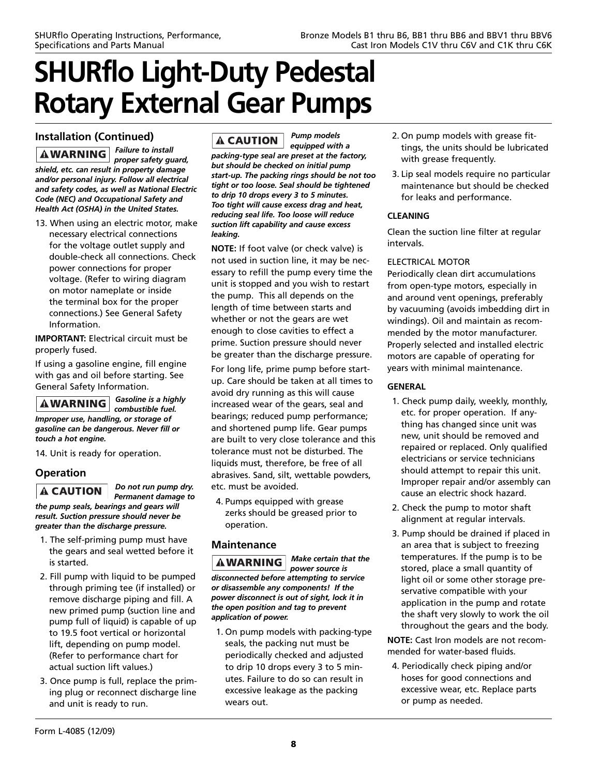# **Installation (Continued)**

*Failure to install*  $\bf|AWRRNING|$ *proper safety guard, shield, etc. can result in property damage and/or personal injury. Follow all electrical and safety codes, as well as National Electric Code (NEC) and Occupational Safety and Health Act (OSHA) in the United States.*

13. When using an electric motor, make necessary electrical connections for the voltage outlet supply and double-check all connections. Check power connections for proper voltage. (Refer to wiring diagram on motor nameplate or inside the terminal box for the proper connections.) See General Safety Information.

**IMPORTANT:** Electrical circuit must be properly fused.

If using a gasoline engine, fill engine with gas and oil before starting. See General Safety Information.

*Gasoline is a highly combustible fuel. Improper use, handling, or storage of gasoline can be dangerous. Never fill or touch a hot engine.*

14. Unit is ready for operation.

# **Operation**

 $\mathbf A$  CAUTION *Permanent damage to*

*the pump seals, bearings and gears will result. Suction pressure should never be greater than the discharge pressure.*

*Do not run pump dry.*

- 1. The self-priming pump must have the gears and seal wetted before it is started.
- 2. Fill pump with liquid to be pumped through priming tee (if installed) or remove discharge piping and fill. A new primed pump (suction line and pump full of liquid) is capable of up to 19.5 foot vertical or horizontal lift, depending on pump model. (Refer to performance chart for actual suction lift values.)
- 3. Once pump is full, replace the priming plug or reconnect discharge line and unit is ready to run.

#### *Pump models* **A CAUTION**

*equipped with a packing-type seal are preset at the factory, but should be checked on initial pump start-up. The packing rings should be not too tight or too loose. Seal should be tightened to drip 10 drops every 3 to 5 minutes. Too tight will cause excess drag and heat, reducing seal life. Too loose will reduce suction lift capability and cause excess leaking.*

**NOTE:** If foot valve (or check valve) is not used in suction line, it may be necessary to refill the pump every time the unit is stopped and you wish to restart the pump. This all depends on the length of time between starts and whether or not the gears are wet enough to close cavities to effect a prime. Suction pressure should never be greater than the discharge pressure.

For long life, prime pump before startup. Care should be taken at all times to avoid dry running as this will cause increased wear of the gears, seal and bearings; reduced pump performance; and shortened pump life. Gear pumps are built to very close tolerance and this tolerance must not be disturbed. The liquids must, therefore, be free of all abrasives. Sand, silt, wettable powders, etc. must be avoided.

4. Pumps equipped with grease zerks should be greased prior to operation.

# **Maintenance**

*Make certain that the* **AWARNING** *power source is disconnected before attempting to service or disassemble any components! If the power disconnect is out of sight, lock it in the open position and tag to prevent application of power.*

1. On pump models with packing-type seals, the packing nut must be periodically checked and adjusted to drip 10 drops every 3 to 5 minutes. Failure to do so can result in excessive leakage as the packing wears out.

- 2. On pump models with grease fittings, the units should be lubricated with grease frequently.
- 3. Lip seal models require no particular maintenance but should be checked for leaks and performance.

## **CLEANING**

Clean the suction line filter at regular intervals.

## ELECTRICAL MOTOR

Periodically clean dirt accumulations from open-type motors, especially in and around vent openings, preferably by vacuuming (avoids imbedding dirt in windings). Oil and maintain as recommended by the motor manufacturer. Properly selected and installed electric motors are capable of operating for years with minimal maintenance.

## **GENERAL**

- 1. Check pump daily, weekly, monthly, etc. for proper operation. If anything has changed since unit was new, unit should be removed and repaired or replaced. Only qualified electricians or service technicians should attempt to repair this unit. Improper repair and/or assembly can cause an electric shock hazard.
- 2. Check the pump to motor shaft alignment at regular intervals.
- 3. Pump should be drained if placed in an area that is subject to freezing temperatures. If the pump is to be stored, place a small quantity of light oil or some other storage preservative compatible with your application in the pump and rotate the shaft very slowly to work the oil throughout the gears and the body.

**NOTE:** Cast Iron models are not recommended for water-based fluids.

4. Periodically check piping and/or hoses for good connections and excessive wear, etc. Replace parts or pump as needed.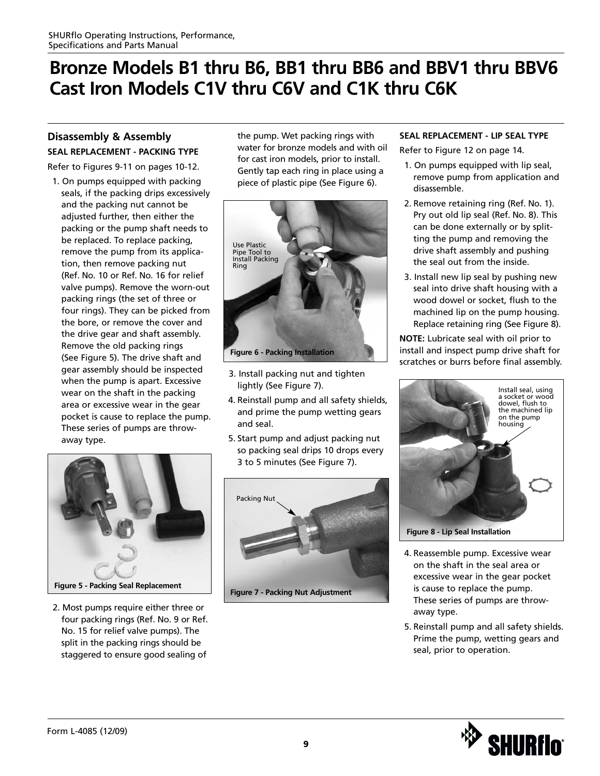# **Disassembly & Assembly**

**SEAL REPLACEMENT - PACKING TYPE**

Refer to Figures 9-11 on pages 10-12.

1. On pumps equipped with packing seals, if the packing drips excessively and the packing nut cannot be adjusted further, then either the packing or the pump shaft needs to be replaced. To replace packing, remove the pump from its application, then remove packing nut (Ref. No. 10 or Ref. No. 16 for relief valve pumps). Remove the worn-out packing rings (the set of three or four rings). They can be picked from the bore, or remove the cover and the drive gear and shaft assembly. Remove the old packing rings (See Figure 5). The drive shaft and gear assembly should be inspected when the pump is apart. Excessive wear on the shaft in the packing area or excessive wear in the gear pocket is cause to replace the pump. These series of pumps are throwaway type.



2. Most pumps require either three or four packing rings (Ref. No. 9 or Ref. No. 15 for relief valve pumps). The split in the packing rings should be staggered to ensure good sealing of

the pump. Wet packing rings with water for bronze models and with oil for cast iron models, prior to install. Gently tap each ring in place using a piece of plastic pipe (See Figure 6).



- 3. Install packing nut and tighten lightly (See Figure 7).
- 4. Reinstall pump and all safety shields, and prime the pump wetting gears and seal.
- 5. Start pump and adjust packing nut so packing seal drips 10 drops every 3 to 5 minutes (See Figure 7).



### **SEAL REPLACEMENT - LIP SEAL TYPE**

Refer to Figure 12 on page 14.

- 1. On pumps equipped with lip seal, remove pump from application and disassemble.
- 2. Remove retaining ring (Ref. No. 1). Pry out old lip seal (Ref. No. 8). This can be done externally or by splitting the pump and removing the drive shaft assembly and pushing the seal out from the inside.
- 3. Install new lip seal by pushing new seal into drive shaft housing with a wood dowel or socket, flush to the machined lip on the pump housing. Replace retaining ring (See Figure 8).

**NOTE:** Lubricate seal with oil prior to install and inspect pump drive shaft for scratches or burrs before final assembly.



- 4. Reassemble pump. Excessive wear on the shaft in the seal area or excessive wear in the gear pocket is cause to replace the pump. These series of pumps are throwaway type.
- 5. Reinstall pump and all safety shields. Prime the pump, wetting gears and seal, prior to operation.

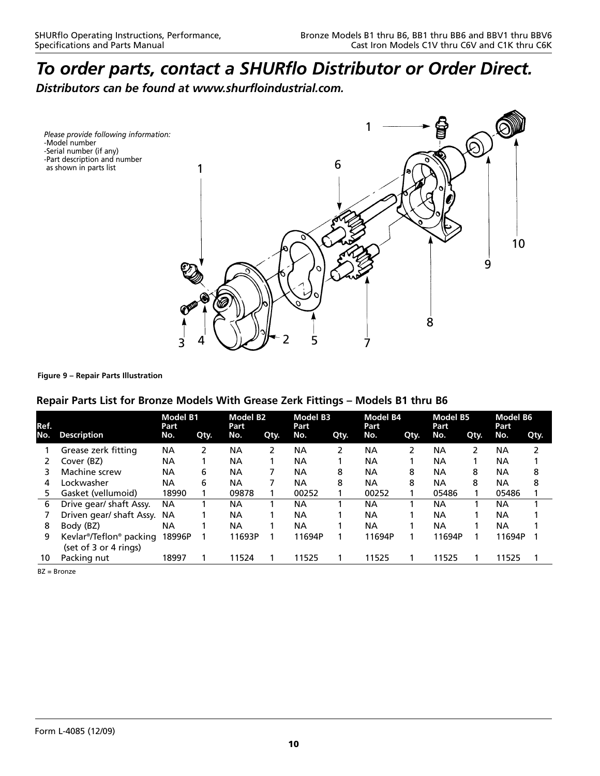*Distributors can be found at www.shurfloindustrial.com.*

*Please provide following information:* -Model number -Serial number (if any) -Part description and number as shown in parts list



### **Figure 9 – Repair Parts Illustration**

## **Repair Parts List for Bronze Models With Grease Zerk Fittings – Models B1 thru B6**

| Ref. |                                                  | <b>Model B1</b><br>Part |      | <b>Model B2</b><br>Part |      | <b>Model B3</b><br>Part |      | Model B4<br>Part<br>No. |      | <b>Model B5</b><br>Part<br>No. |      | <b>Model B6</b><br>Part<br>No.<br>Qty. |   |
|------|--------------------------------------------------|-------------------------|------|-------------------------|------|-------------------------|------|-------------------------|------|--------------------------------|------|----------------------------------------|---|
| No.  | <b>Description</b>                               | No.                     | Qty. | No.                     | Qty. | No.                     | Qty. |                         | Qty. |                                | Qty. |                                        |   |
|      | Grease zerk fitting                              | <b>NA</b>               |      | <b>NA</b>               | 2    | <b>NA</b>               |      | ΝA                      | 2    | <b>NA</b>                      | 2    | <b>NA</b>                              |   |
|      | Cover (BZ)                                       | NА                      |      | <b>NA</b>               |      | NA                      |      | ΝA                      |      | <b>NA</b>                      |      | NА                                     |   |
| 3.   | Machine screw                                    | NА                      | 6    | <b>NA</b>               |      | NА                      | 8    | NА                      | 8    | NА                             | 8    | <b>NA</b>                              | 8 |
| 4    | Lockwasher                                       | NА                      | 6    | <b>NA</b>               |      | NА                      | 8    | NA                      | 8    | <b>NA</b>                      | 8    | <b>NA</b>                              | 8 |
| 5.   | Gasket (vellumoid)                               | 18990                   |      | 09878                   |      | 00252                   |      | 00252                   |      | 05486                          |      | 05486                                  |   |
| 6    | Drive gear/ shaft Assy.                          | <b>NA</b>               |      | NА                      |      | ΝA                      |      | ΝA                      |      | NА                             |      | NА                                     |   |
|      | Driven gear/ shaft Assy.                         | <b>NA</b>               |      | <b>NA</b>               |      | <b>NA</b>               |      | <b>NA</b>               |      | NА                             |      | NA                                     |   |
| 8    | Body (BZ)                                        | ΝA                      |      | <b>NA</b>               |      | NA                      |      | NΑ                      |      | <b>NA</b>                      |      | NA                                     |   |
| 9    | Kevlar®/Teflon® packing<br>(set of 3 or 4 rings) | 18996P                  |      | 11693P                  |      | 11694P                  |      | 11694P                  |      | 11694P                         |      | 11694P                                 |   |
| 10   | Packing nut                                      | 18997                   |      | 11524                   |      | 11525                   |      | 11525                   |      | 11525                          |      | 11525                                  |   |
|      |                                                  |                         |      |                         |      |                         |      |                         |      |                                |      |                                        |   |

BZ = Bronze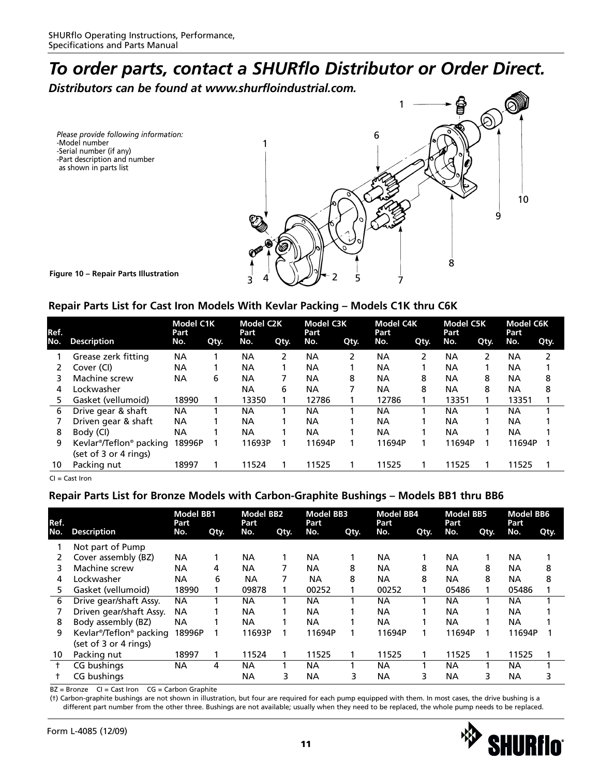*Distributors can be found at www.shurfloindustrial.com.*

*Please provide following information:* -Model number -Serial number (if any) -Part description and number as shown in parts list



# **Repair Parts List for Cast Iron Models With Kevlar Packing – Models C1K thru C6K**

| Ref. |                                                  | <b>Model C1K</b><br>Part |      | <b>Model C2K</b><br>Part |      | <b>Model C3K</b><br>Part |      | <b>Model C4K</b><br>Part |      | <b>Model C5K</b><br>Part |      | <b>Model C6K</b><br>Part |      |
|------|--------------------------------------------------|--------------------------|------|--------------------------|------|--------------------------|------|--------------------------|------|--------------------------|------|--------------------------|------|
| No.  | <b>Description</b>                               | No.                      | Qty. | No.                      | Qty. | No.                      | Qty. | No.                      | Qty. | No.                      | Qty. | No.                      | Qty. |
|      | Grease zerk fitting                              | ΝA                       |      | ΝA                       | 2    | NА                       |      | ΝA                       | 2    | ΝA                       | 2    | NА                       | 2    |
|      | Cover (CI)                                       | ΝA                       |      | ΝA                       |      | NА                       |      | NA                       |      | <b>NA</b>                |      | NА                       |      |
| 3    | Machine screw                                    | ΝA                       | 6    | ΝA                       |      | <b>NA</b>                | 8    | NA                       | 8    | <b>NA</b>                | 8    | NА                       | 8    |
| 4    | Lockwasher                                       |                          |      | ΝA                       | 6    | NА                       |      | ΝA                       | 8    | <b>NA</b>                | 8    | <b>NA</b>                | 8    |
| 5    | Gasket (vellumoid)                               | 18990                    |      | 13350                    |      | 12786                    |      | 12786                    |      | 13351                    |      | 13351                    |      |
| 6    | Drive gear & shaft                               | ΝA                       |      | NA                       |      | NА                       |      | NA                       |      | <b>NA</b>                |      | <b>NA</b>                |      |
|      | Driven gear & shaft                              | ΝA                       |      | ΝA                       |      | NА                       |      | ΝA                       |      | NА                       |      | NА                       |      |
| 8    | Body (CI)                                        | ΝA                       |      | NΑ                       |      | NА                       |      | <b>NA</b>                |      | NA                       |      | NА                       |      |
| 9    | Kevlar®/Teflon® packing<br>(set of 3 or 4 rings) | 18996P                   |      | 11693P                   |      | 11694P                   |      | 11694P                   |      | 11694P                   |      | 11694P                   |      |
| 10   | Packing nut                                      | 18997                    |      | 11524                    |      | 11525                    |      | 11525                    |      | 11525                    |      | 11525                    |      |

CI = Cast Iron

# **Repair Parts List for Bronze Models with Carbon-Graphite Bushings – Models BB1 thru BB6**

| Ref. |                         | <b>Model BB1</b><br>Part |      | <b>Model BB2</b><br>Part |      | <b>Model BB3</b><br>Part |      | <b>Model BB4</b><br>Part |      | <b>Model BB5</b><br>Part |      | <b>Model BB6</b><br>Part |      |
|------|-------------------------|--------------------------|------|--------------------------|------|--------------------------|------|--------------------------|------|--------------------------|------|--------------------------|------|
| No.  | <b>Description</b>      | No.                      | Qty. | No.                      | Qty. | No.                      | Qty. | No.                      | Qty. | No.                      | Qty. | No.                      | Qty. |
|      | Not part of Pump        |                          |      |                          |      |                          |      |                          |      |                          |      |                          |      |
| 2    | Cover assembly (BZ)     | <b>NA</b>                |      | NА                       |      | <b>NA</b>                |      | NA.                      |      | NА                       |      | NA                       |      |
| 3    | Machine screw           | <b>NA</b>                | 4    | ΝA                       | 7    | <b>NA</b>                | 8    | <b>NA</b>                | 8    | NА                       | 8    | <b>NA</b>                | 8    |
| 4    | Lockwasher              | <b>NA</b>                | 6    | <b>NA</b>                | 7    | NА                       | 8    | <b>NA</b>                | 8    | NА                       | 8    | <b>NA</b>                | 8    |
| 5    | Gasket (vellumoid)      | 18990                    |      | 09878                    |      | 00252                    |      | 00252                    |      | 05486                    |      | 05486                    |      |
| 6    | Drive gear/shaft Assy.  | <b>NA</b>                |      | ΝA                       |      | NА                       |      | NА                       |      | ΝA                       |      | NА                       |      |
|      | Driven gear/shaft Assy. | <b>NA</b>                |      | NА                       |      | NΑ                       |      | <b>NA</b>                |      | NА                       |      | <b>NA</b>                |      |
| 8    | Body assembly (BZ)      | <b>NA</b>                |      | ΝA                       |      | NA                       |      | <b>NA</b>                |      | NA                       |      | <b>NA</b>                |      |
| 9    | Kevlar®/Teflon® packing | 18996P                   |      | 11693P                   |      | 11694P                   |      | 11694P                   |      | 11694P                   |      | 11694P                   |      |
|      | (set of 3 or 4 rings)   |                          |      |                          |      |                          |      |                          |      |                          |      |                          |      |
| 10   | Packing nut             | 18997                    |      | 11524                    |      | 11525                    |      | 11525                    |      | 11525                    |      | 11525                    |      |
|      | CG bushings             | <b>NA</b>                | 4    | ΝA                       |      | NА                       |      | NА                       |      | NA                       |      | <b>NA</b>                |      |
|      | CG bushings             |                          |      | ΝA                       | 3    | <b>NA</b>                | 3    | <b>NA</b>                | 3    | NA                       | 3    | <b>NA</b>                | 3    |

 $BZ =$  Bronze  $CI =$  Cast Iron  $CG =$  Carbon Graphite

(†) Carbon-graphite bushings are not shown in illustration, but four are required for each pump equipped with them. In most cases, the drive bushing is a different part number from the other three. Bushings are not available; usually when they need to be replaced, the whole pump needs to be replaced.

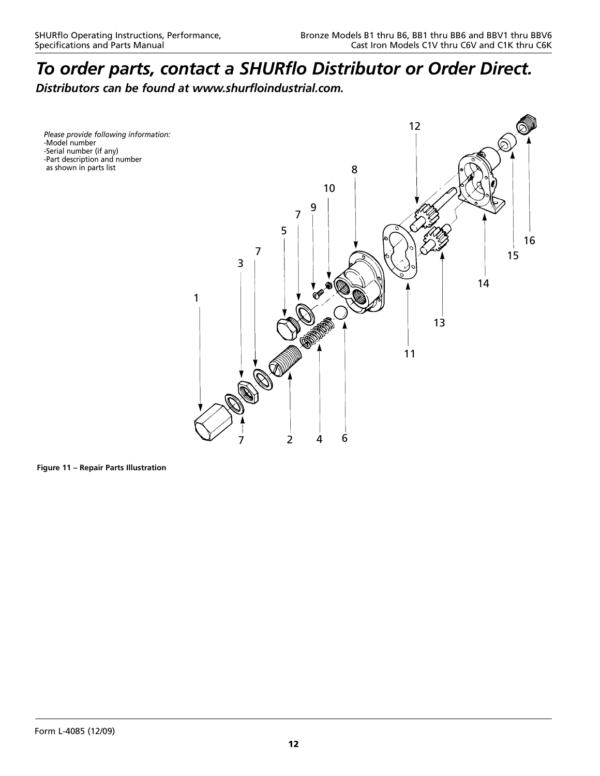*Distributors can be found at www.shurfloindustrial.com.*

*Please provide following information:* -Model number -Serial number (if any) -Part description and number as shown in parts list



**Figure 11 – Repair Parts Illustration**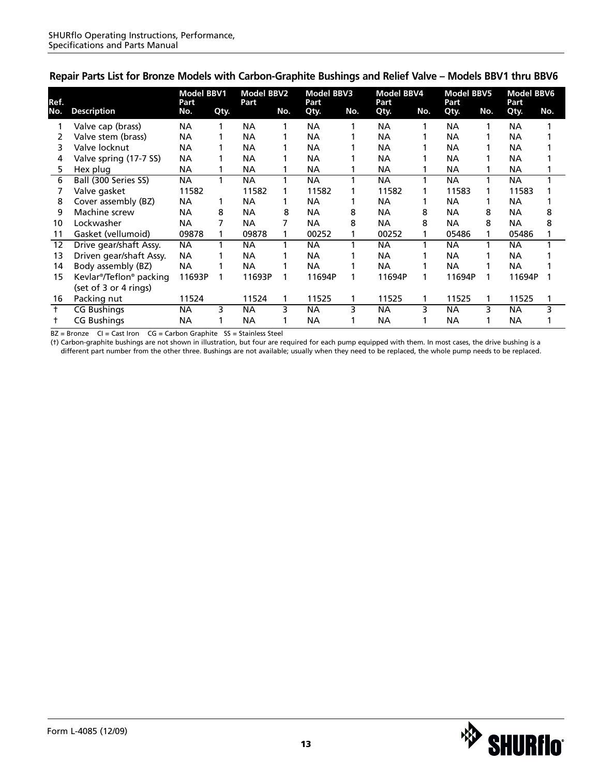| Ref.       |                         | <b>Model BBV1</b><br><b>Part</b> |      | <b>Model BBV2</b><br>Part |     | <b>Model BBV3</b><br>Part |     | <b>Model BBV4</b><br>Part |     | <b>Model BBV5</b><br>Part |     | <b>Model BBV6</b><br>Part |     |
|------------|-------------------------|----------------------------------|------|---------------------------|-----|---------------------------|-----|---------------------------|-----|---------------------------|-----|---------------------------|-----|
| No.        | <b>Description</b>      | No.                              | Qty. |                           | No. | Qty.                      | No. | Qty.                      | No. | Qty.                      | No. | Qty.                      | No. |
|            | Valve cap (brass)       | <b>NA</b>                        |      | <b>NA</b>                 | 1   | <b>NA</b>                 |     | <b>NA</b>                 |     | NА                        |     | <b>NA</b>                 |     |
| 2          | Valve stem (brass)      | <b>NA</b>                        |      | <b>NA</b>                 |     | <b>NA</b>                 |     | <b>NA</b>                 |     | NА                        |     | <b>NA</b>                 |     |
| 3          | Valve locknut           | <b>NA</b>                        |      | NА                        |     | <b>NA</b>                 |     | <b>NA</b>                 |     | NА                        |     | <b>NA</b>                 |     |
| 4          | Valve spring (17-7 SS)  | <b>NA</b>                        |      | ΝA                        |     | <b>NA</b>                 |     | <b>NA</b>                 |     | NA                        |     | <b>NA</b>                 |     |
| 5          | Hex plug                | <b>NA</b>                        |      | <b>NA</b>                 |     | <b>NA</b>                 |     | <b>NA</b>                 |     | NА                        |     | <b>NA</b>                 |     |
| 6          | Ball (300 Series SS)    | <b>NA</b>                        |      | <b>NA</b>                 |     | <b>NA</b>                 |     | <b>NA</b>                 | 1   | NА                        |     | NА                        |     |
|            | Valve gasket            | 11582                            |      | 11582                     | 1   | 11582                     |     | 11582                     |     | 11583                     |     | 11583                     |     |
| 8          | Cover assembly (BZ)     | <b>NA</b>                        |      | <b>NA</b>                 |     | <b>NA</b>                 |     | <b>NA</b>                 |     | <b>NA</b>                 |     | <b>NA</b>                 |     |
| 9          | Machine screw           | <b>NA</b>                        | 8    | <b>NA</b>                 | 8   | <b>NA</b>                 | 8   | <b>NA</b>                 | 8   | NА                        | 8   | <b>NA</b>                 | 8   |
| 10         | Lockwasher              | <b>NA</b>                        | 7    | <b>NA</b>                 | 7   | <b>NA</b>                 | 8   | <b>NA</b>                 | 8   | NА                        | 8   | <b>NA</b>                 | 8   |
| 11         | Gasket (vellumoid)      | 09878                            |      | 09878                     |     | 00252                     |     | 00252                     |     | 05486                     |     | 05486                     |     |
| 12         | Drive gear/shaft Assy.  | <b>NA</b>                        |      | <b>NA</b>                 | 1   | <b>NA</b>                 |     | <b>NA</b>                 | 1   | NА                        |     | NА                        |     |
| 13         | Driven gear/shaft Assy. | <b>NA</b>                        |      | NA                        |     | <b>NA</b>                 |     | <b>NA</b>                 |     | NA                        |     | <b>NA</b>                 |     |
| 14         | Body assembly (BZ)      | <b>NA</b>                        |      | <b>NA</b>                 |     | <b>NA</b>                 |     | <b>NA</b>                 |     | NА                        |     | <b>NA</b>                 |     |
| 15         | Kevlar®/Teflon® packing | 11693P                           |      | 11693P                    | 1   | 11694P                    |     | 11694P                    |     | 11694P                    | 1   | 11694P                    |     |
|            | (set of 3 or 4 rings)   |                                  |      |                           |     |                           |     |                           |     |                           |     |                           |     |
| 16         | Packing nut             | 11524                            |      | 11524                     |     | 11525                     |     | 11525                     |     | 11525                     |     | 11525                     |     |
| $\ddagger$ | <b>CG Bushings</b>      | <b>NA</b>                        | 3    | <b>NA</b>                 | 3   | <b>NA</b>                 | 3   | <b>NA</b>                 | 3   | NА                        | 3   | <b>NA</b>                 | 3   |
|            | <b>CG Bushings</b>      | NА                               |      | ΝA                        |     | ΝA                        |     | ΝA                        |     | NΑ                        |     | ΝA                        |     |

# **Repair Parts List for Bronze Models with Carbon-Graphite Bushings and Relief Valve – Models BBV1 thru BBV6**

 $BZ =$  Bronze  $CI =$  Cast Iron  $CG =$  Carbon Graphite  $SS =$  Stainless Steel

(†) Carbon-graphite bushings are not shown in illustration, but four are required for each pump equipped with them. In most cases, the drive bushing is a different part number from the other three. Bushings are not available; usually when they need to be replaced, the whole pump needs to be replaced.



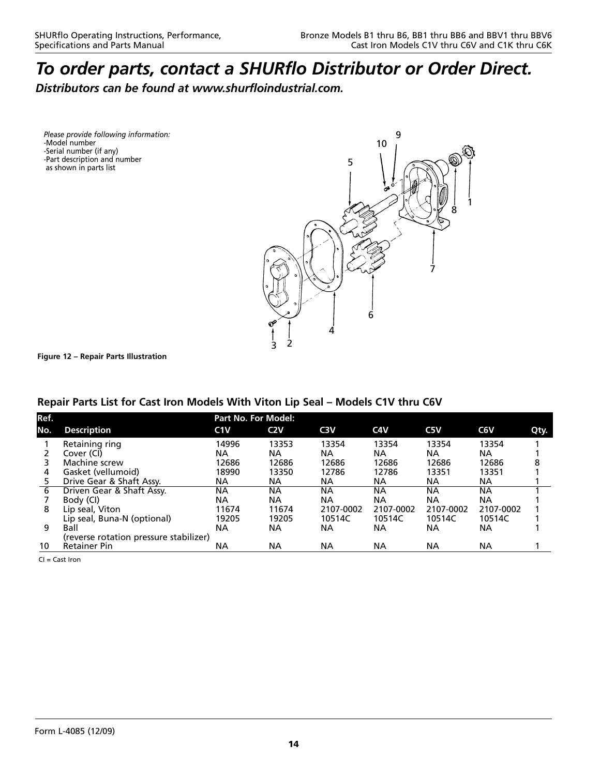*Distributors can be found at www.shurfloindustrial.com.* 

*Please provide following information:* -Model number -Serial number (if any) -Part description and number as shown in parts list



**Figure 12 – Repair Parts Illustration** 

# **Repair Parts List for Cast Iron Models With Viton Lip Seal – Models C1V thru C6V**

|                                        | <b>Part No. For Model:</b> |       |                  |           |           |           |      |  |  |  |  |  |
|----------------------------------------|----------------------------|-------|------------------|-----------|-----------|-----------|------|--|--|--|--|--|
| <b>Description</b>                     | C1V                        | C2V   | C <sub>3</sub> V | C4V       | C5V       | C6V       | Qty. |  |  |  |  |  |
|                                        | 14996                      | 13353 | 13354            | 13354     | 13354     | 13354     |      |  |  |  |  |  |
| Cover (CI)                             | NА                         | NА    | NА               | <b>NA</b> | ΝA.       | NA.       |      |  |  |  |  |  |
| Machine screw                          | 12686                      | 12686 | 12686            | 12686     | 12686     | 12686     | 8    |  |  |  |  |  |
| Gasket (vellumoid)                     | 18990                      | 13350 | 12786            | 12786     | 13351     | 13351     |      |  |  |  |  |  |
| Drive Gear & Shaft Assy.               | ΝA                         | ΝA    | NА               | <b>NA</b> | NА        | NА        |      |  |  |  |  |  |
| Driven Gear & Shaft Assy.              | NА                         | NА    | NА               | NА        | NА        | NА        |      |  |  |  |  |  |
| Body (CI)                              | ΝA                         | NА    | <b>NA</b>        | <b>NA</b> | NА        | NА        |      |  |  |  |  |  |
| Lip seal, Viton                        | 11674                      | 11674 | 2107-0002        | 2107-0002 | 2107-0002 | 2107-0002 |      |  |  |  |  |  |
| Lip seal, Buna-N (optional)            | 19205                      | 19205 | 10514C           | 10514C    | 10514C    | 10514C    |      |  |  |  |  |  |
| Ball                                   | NА                         | NА    | NА               | NА        | NА        | ΝA        |      |  |  |  |  |  |
| (reverse rotation pressure stabilizer) |                            |       |                  |           |           |           |      |  |  |  |  |  |
| <b>Retainer Pin</b>                    | ΝA                         | ΝA    | NА               | NА        | NА        | NА        |      |  |  |  |  |  |
|                                        | Retaining ring             |       |                  |           |           |           |      |  |  |  |  |  |

 $Cl =$  Cast Iron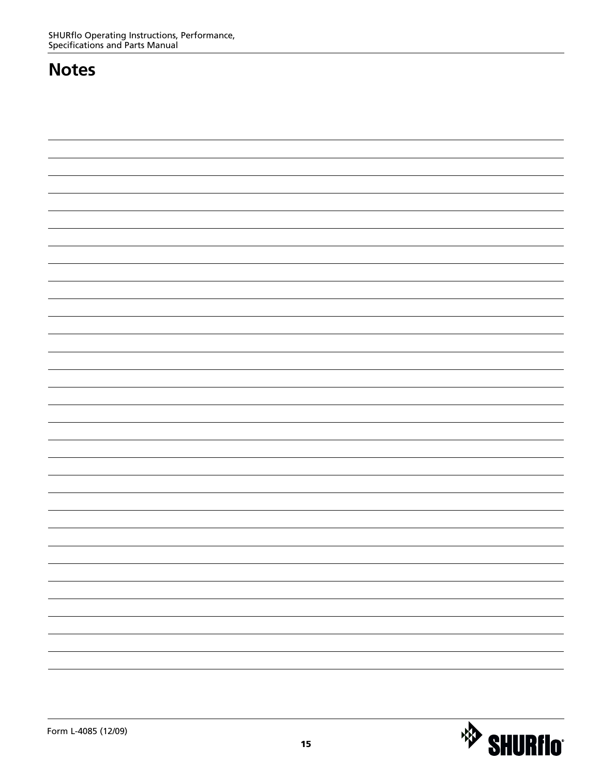# **Notes**